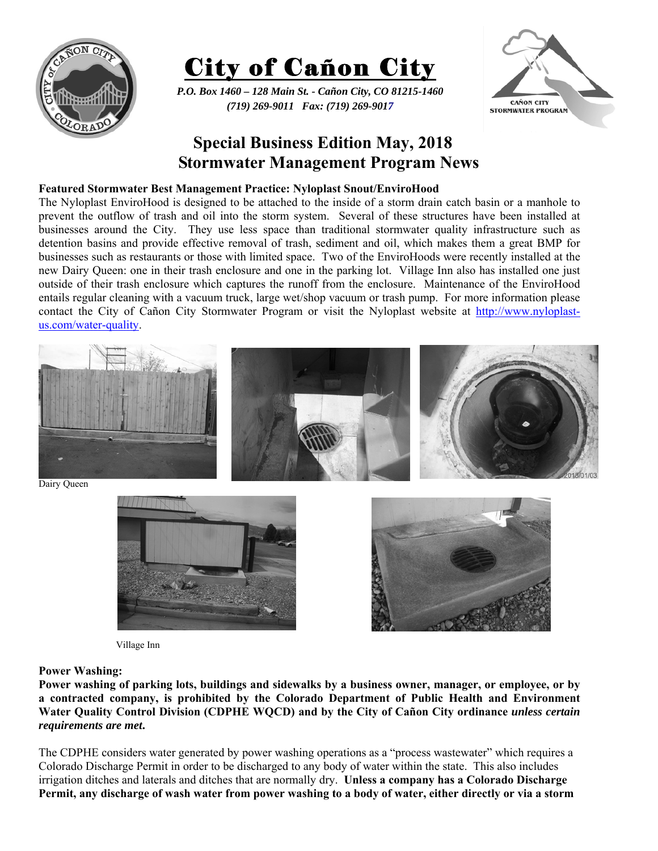



*P.O. Box 1460 – 128 Main St. - Cañon City, CO 81215-1460 (719) 269-9011 Fax: (719) 269-9017* 



# **Special Business Edition May, 2018 Stormwater Management Program News**

## **Featured Stormwater Best Management Practice: Nyloplast Snout/EnviroHood**

The Nyloplast EnviroHood is designed to be attached to the inside of a storm drain catch basin or a manhole to prevent the outflow of trash and oil into the storm system. Several of these structures have been installed at businesses around the City. They use less space than traditional stormwater quality infrastructure such as detention basins and provide effective removal of trash, sediment and oil, which makes them a great BMP for businesses such as restaurants or those with limited space. Two of the EnviroHoods were recently installed at the new Dairy Queen: one in their trash enclosure and one in the parking lot. Village Inn also has installed one just outside of their trash enclosure which captures the runoff from the enclosure. Maintenance of the EnviroHood entails regular cleaning with a vacuum truck, large wet/shop vacuum or trash pump. For more information please contact the City of Cañon City Stormwater Program or visit the Nyloplast website at http://www.nyloplastus.com/water-quality.



Village Inn

## **Power Washing:**

**Power washing of parking lots, buildings and sidewalks by a business owner, manager, or employee, or by a contracted company, is prohibited by the Colorado Department of Public Health and Environment Water Quality Control Division (CDPHE WQCD) and by the City of Cañon City ordinance** *unless certain requirements are met***.** 

The CDPHE considers water generated by power washing operations as a "process wastewater" which requires a Colorado Discharge Permit in order to be discharged to any body of water within the state. This also includes irrigation ditches and laterals and ditches that are normally dry. **Unless a company has a Colorado Discharge Permit, any discharge of wash water from power washing to a body of water, either directly or via a storm**